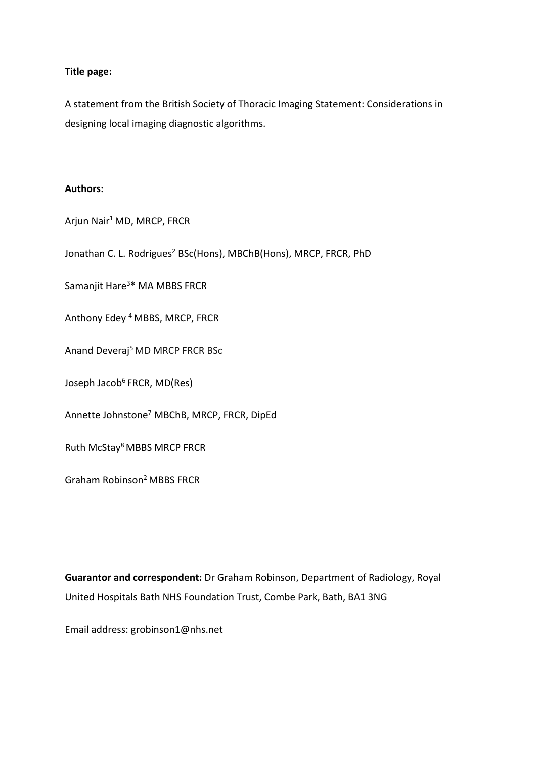## **Title page:**

A statement from the British Society of Thoracic Imaging Statement: Considerations in designing local imaging diagnostic algorithms.

### **Authors:**

Arjun Nair1 MD, MRCP, FRCR

Jonathan C. L. Rodrigues<sup>2</sup> BSc(Hons), MBChB(Hons), MRCP, FRCR, PhD

Samanjit Hare<sup>3\*</sup> MA MBBS FRCR

Anthony Edey 4 MBBS, MRCP, FRCR

Anand Deveraj<sup>5</sup> MD MRCP FRCR BSc

Joseph Jacob<sup>6</sup> FRCR, MD(Res)

Annette Johnstone7 MBChB, MRCP, FRCR, DipEd

Ruth McStay8 MBBS MRCP FRCR

Graham Robinson2 MBBS FRCR

**Guarantor and correspondent:** Dr Graham Robinson, Department of Radiology, Royal United Hospitals Bath NHS Foundation Trust, Combe Park, Bath, BA1 3NG

Email address: grobinson1@nhs.net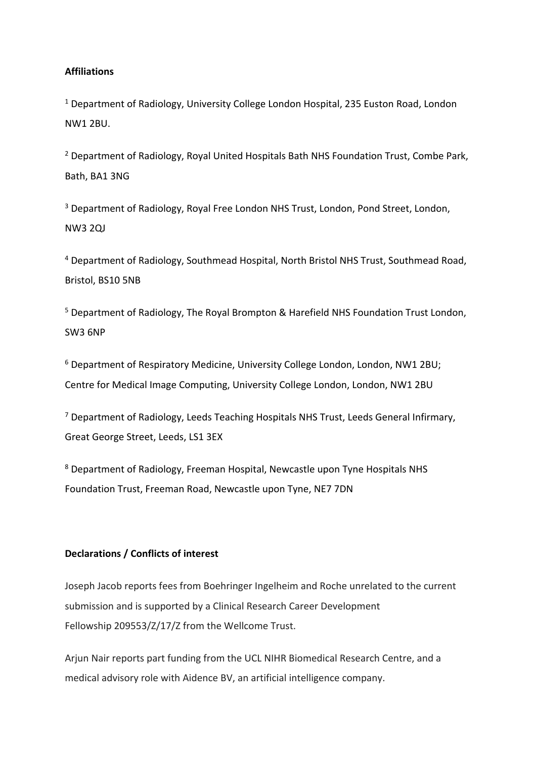## **Affiliations**

<sup>1</sup> Department of Radiology, University College London Hospital, 235 Euston Road, London NW1 2BU.

<sup>2</sup> Department of Radiology, Royal United Hospitals Bath NHS Foundation Trust, Combe Park, Bath, BA1 3NG

<sup>3</sup> Department of Radiology, Royal Free London NHS Trust, London, Pond Street, London, NW3 2QJ

<sup>4</sup> Department of Radiology, Southmead Hospital, North Bristol NHS Trust, Southmead Road, Bristol, BS10 5NB

<sup>5</sup> Department of Radiology, The Royal Brompton & Harefield NHS Foundation Trust London, SW3 6NP

<sup>6</sup> Department of Respiratory Medicine, University College London, London, NW1 2BU; Centre for Medical Image Computing, University College London, London, NW1 2BU

<sup>7</sup> Department of Radiology, Leeds Teaching Hospitals NHS Trust, Leeds General Infirmary, Great George Street, Leeds, LS1 3EX

<sup>8</sup> Department of Radiology, Freeman Hospital, Newcastle upon Tyne Hospitals NHS Foundation Trust, Freeman Road, Newcastle upon Tyne, NE7 7DN

## **Declarations / Conflicts of interest**

Joseph Jacob reports fees from Boehringer Ingelheim and Roche unrelated to the current submission and is supported by a Clinical Research Career Development Fellowship 209553/Z/17/Z from the Wellcome Trust.

Arjun Nair reports part funding from the UCL NIHR Biomedical Research Centre, and a medical advisory role with Aidence BV, an artificial intelligence company.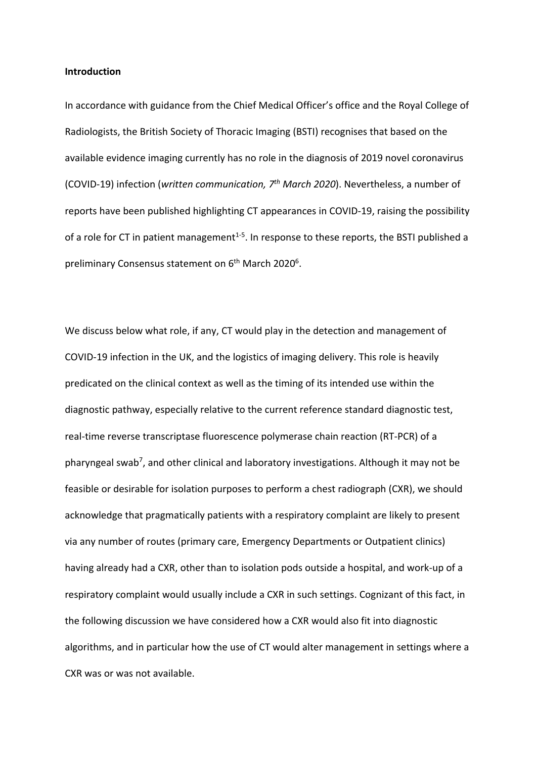#### **Introduction**

In accordance with guidance from the Chief Medical Officer's office and the Royal College of Radiologists, the British Society of Thoracic Imaging (BSTI) recognises that based on the available evidence imaging currently has no role in the diagnosis of 2019 novel coronavirus (COVID-19) infection (*written communication, 7th March 2020*). Nevertheless, a number of reports have been published highlighting CT appearances in COVID-19, raising the possibility of a role for CT in patient management<sup>1-5</sup>. In response to these reports, the BSTI published a preliminary Consensus statement on 6<sup>th</sup> March 2020<sup>6</sup>.

We discuss below what role, if any, CT would play in the detection and management of COVID-19 infection in the UK, and the logistics of imaging delivery. This role is heavily predicated on the clinical context as well as the timing of its intended use within the diagnostic pathway, especially relative to the current reference standard diagnostic test, real-time reverse transcriptase fluorescence polymerase chain reaction (RT-PCR) of a pharyngeal swab<sup>7</sup>, and other clinical and laboratory investigations. Although it may not be feasible or desirable for isolation purposes to perform a chest radiograph (CXR), we should acknowledge that pragmatically patients with a respiratory complaint are likely to present via any number of routes (primary care, Emergency Departments or Outpatient clinics) having already had a CXR, other than to isolation pods outside a hospital, and work-up of a respiratory complaint would usually include a CXR in such settings. Cognizant of this fact, in the following discussion we have considered how a CXR would also fit into diagnostic algorithms, and in particular how the use of CT would alter management in settings where a CXR was or was not available.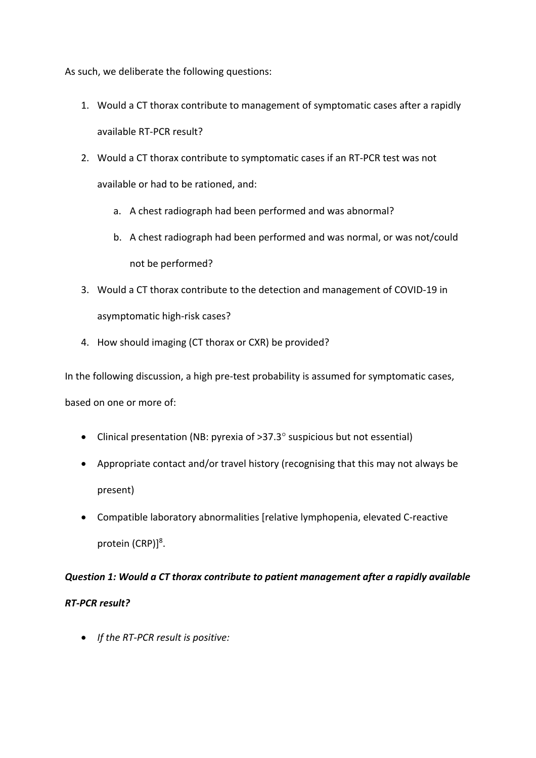As such, we deliberate the following questions:

- 1. Would a CT thorax contribute to management of symptomatic cases after a rapidly available RT-PCR result?
- 2. Would a CT thorax contribute to symptomatic cases if an RT-PCR test was not available or had to be rationed, and:
	- a. A chest radiograph had been performed and was abnormal?
	- b. A chest radiograph had been performed and was normal, or was not/could not be performed?
- 3. Would a CT thorax contribute to the detection and management of COVID-19 in asymptomatic high-risk cases?
- 4. How should imaging (CT thorax or CXR) be provided?

In the following discussion, a high pre-test probability is assumed for symptomatic cases,

based on one or more of:

- Clinical presentation (NB: pyrexia of >37.3° suspicious but not essential)
- Appropriate contact and/or travel history (recognising that this may not always be present)
- Compatible laboratory abnormalities [relative lymphopenia, elevated C-reactive protein (CRP)]<sup>8</sup>.

# *Question 1: Would a CT thorax contribute to patient management after a rapidly available RT-PCR result?*

• *If the RT-PCR result is positive:*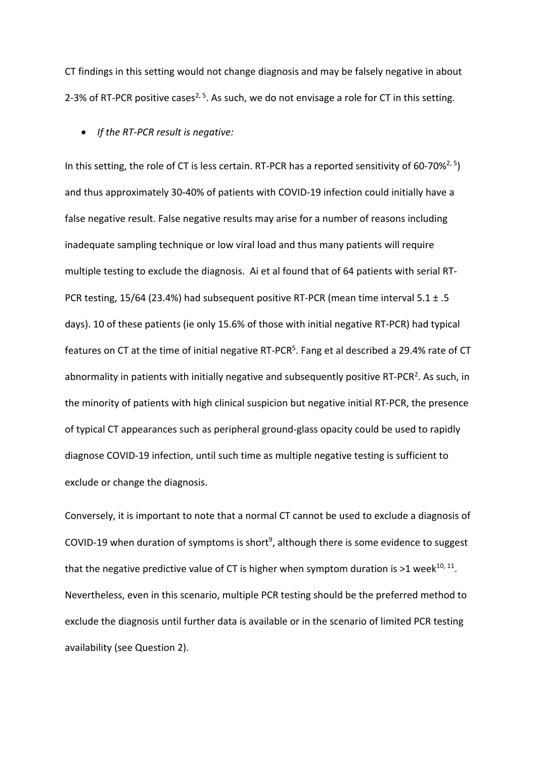CT findings in this setting would not change diagnosis and may be falsely negative in about 2-3% of RT-PCR positive cases<sup>2, 5</sup>. As such, we do not envisage a role for CT in this setting.

• *If the RT-PCR result is negative:* 

In this setting, the role of CT is less certain. RT-PCR has a reported sensitivity of 60-70%<sup>2, 5</sup>) and thus approximately 30-40% of patients with COVID-19 infection could initially have a false negative result. False negative results may arise for a number of reasons including inadequate sampling technique or low viral load and thus many patients will require multiple testing to exclude the diagnosis. Ai et al found that of 64 patients with serial RT-PCR testing, 15/64 (23.4%) had subsequent positive RT-PCR (mean time interval 5.1 ± .5 days). 10 of these patients (ie only 15.6% of those with initial negative RT-PCR) had typical features on CT at the time of initial negative RT-PCR<sup>5</sup>. Fang et al described a 29.4% rate of CT abnormality in patients with initially negative and subsequently positive RT-PCR<sup>2</sup>. As such, in the minority of patients with high clinical suspicion but negative initial RT-PCR, the presence of typical CT appearances such as peripheral ground-glass opacity could be used to rapidly diagnose COVID-19 infection, until such time as multiple negative testing is sufficient to exclude or change the diagnosis.

Conversely, it is important to note that a normal CT cannot be used to exclude a diagnosis of COVID-19 when duration of symptoms is short<sup>9</sup>, although there is some evidence to suggest that the negative predictive value of CT is higher when symptom duration is  $>1$  week<sup>10, 11</sup>. Nevertheless, even in this scenario, multiple PCR testing should be the preferred method to exclude the diagnosis until further data is available or in the scenario of limited PCR testing availability (see Question 2).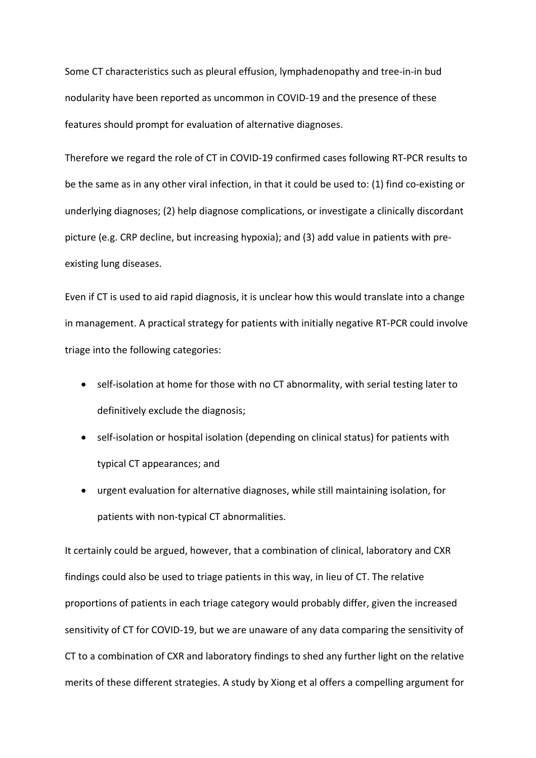Some CT characteristics such as pleural effusion, lymphadenopathy and tree-in-in bud nodularity have been reported as uncommon in COVID-19 and the presence of these features should prompt for evaluation of alternative diagnoses.

Therefore we regard the role of CT in COVID-19 confirmed cases following RT-PCR results to be the same as in any other viral infection, in that it could be used to: (1) find co-existing or underlying diagnoses; (2) help diagnose complications, or investigate a clinically discordant picture (e.g. CRP decline, but increasing hypoxia); and (3) add value in patients with preexisting lung diseases.

Even if CT is used to aid rapid diagnosis, it is unclear how this would translate into a change in management. A practical strategy for patients with initially negative RT-PCR could involve triage into the following categories:

- self-isolation at home for those with no CT abnormality, with serial testing later to definitively exclude the diagnosis;
- self-isolation or hospital isolation (depending on clinical status) for patients with typical CT appearances; and
- urgent evaluation for alternative diagnoses, while still maintaining isolation, for patients with non-typical CT abnormalities.

It certainly could be argued, however, that a combination of clinical, laboratory and CXR findings could also be used to triage patients in this way, in lieu of CT. The relative proportions of patients in each triage category would probably differ, given the increased sensitivity of CT for COVID-19, but we are unaware of any data comparing the sensitivity of CT to a combination of CXR and laboratory findings to shed any further light on the relative merits of these different strategies. A study by Xiong et al offers a compelling argument for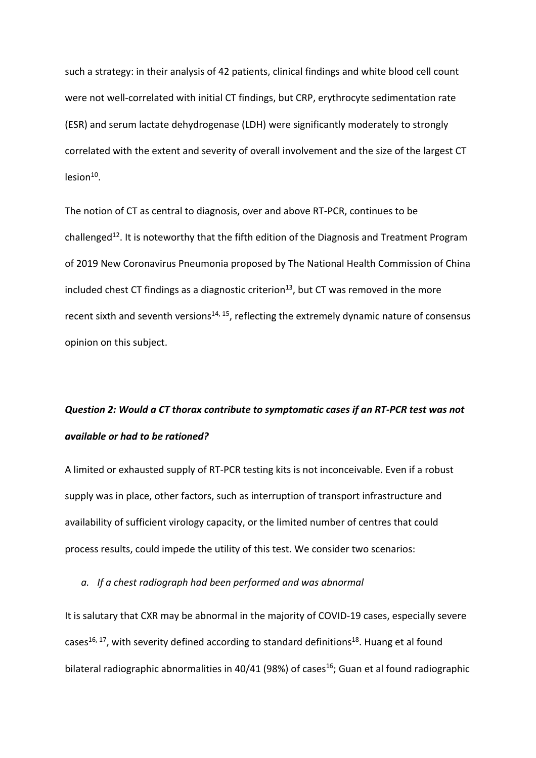such a strategy: in their analysis of 42 patients, clinical findings and white blood cell count were not well-correlated with initial CT findings, but CRP, erythrocyte sedimentation rate (ESR) and serum lactate dehydrogenase (LDH) were significantly moderately to strongly correlated with the extent and severity of overall involvement and the size of the largest CT  $lesion<sup>10</sup>$ .

The notion of CT as central to diagnosis, over and above RT-PCR, continues to be challenged<sup>12</sup>. It is noteworthy that the fifth edition of the Diagnosis and Treatment Program of 2019 New Coronavirus Pneumonia proposed by The National Health Commission of China included chest CT findings as a diagnostic criterion<sup>13</sup>, but CT was removed in the more recent sixth and seventh versions<sup>14, 15</sup>, reflecting the extremely dynamic nature of consensus opinion on this subject.

## *Question 2: Would a CT thorax contribute to symptomatic cases if an RT-PCR test was not available or had to be rationed?*

A limited or exhausted supply of RT-PCR testing kits is not inconceivable. Even if a robust supply was in place, other factors, such as interruption of transport infrastructure and availability of sufficient virology capacity, or the limited number of centres that could process results, could impede the utility of this test. We consider two scenarios:

*a. If a chest radiograph had been performed and was abnormal*

It is salutary that CXR may be abnormal in the majority of COVID-19 cases, especially severe cases<sup>16, 17</sup>, with severity defined according to standard definitions<sup>18</sup>. Huang et al found bilateral radiographic abnormalities in 40/41 (98%) of cases<sup>16</sup>; Guan et al found radiographic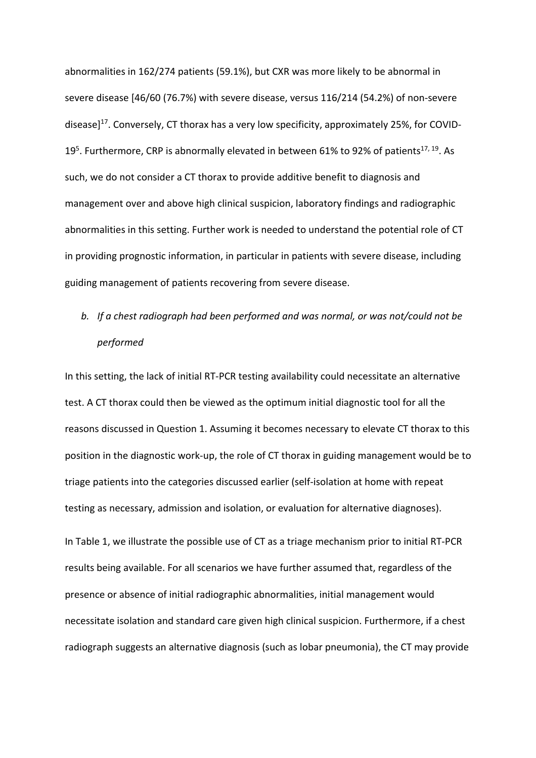abnormalities in 162/274 patients (59.1%), but CXR was more likely to be abnormal in severe disease [46/60 (76.7%) with severe disease, versus 116/214 (54.2%) of non-severe disease] $^{17}$ . Conversely, CT thorax has a very low specificity, approximately 25%, for COVID-19<sup>5</sup>. Furthermore, CRP is abnormally elevated in between 61% to 92% of patients<sup>17, 19</sup>. As such, we do not consider a CT thorax to provide additive benefit to diagnosis and management over and above high clinical suspicion, laboratory findings and radiographic abnormalities in this setting. Further work is needed to understand the potential role of CT in providing prognostic information, in particular in patients with severe disease, including guiding management of patients recovering from severe disease.

# *b. If a chest radiograph had been performed and was normal, or was not/could not be performed*

In this setting, the lack of initial RT-PCR testing availability could necessitate an alternative test. A CT thorax could then be viewed as the optimum initial diagnostic tool for all the reasons discussed in Question 1. Assuming it becomes necessary to elevate CT thorax to this position in the diagnostic work-up, the role of CT thorax in guiding management would be to triage patients into the categories discussed earlier (self-isolation at home with repeat testing as necessary, admission and isolation, or evaluation for alternative diagnoses).

In Table 1, we illustrate the possible use of CT as a triage mechanism prior to initial RT-PCR results being available. For all scenarios we have further assumed that, regardless of the presence or absence of initial radiographic abnormalities, initial management would necessitate isolation and standard care given high clinical suspicion. Furthermore, if a chest radiograph suggests an alternative diagnosis (such as lobar pneumonia), the CT may provide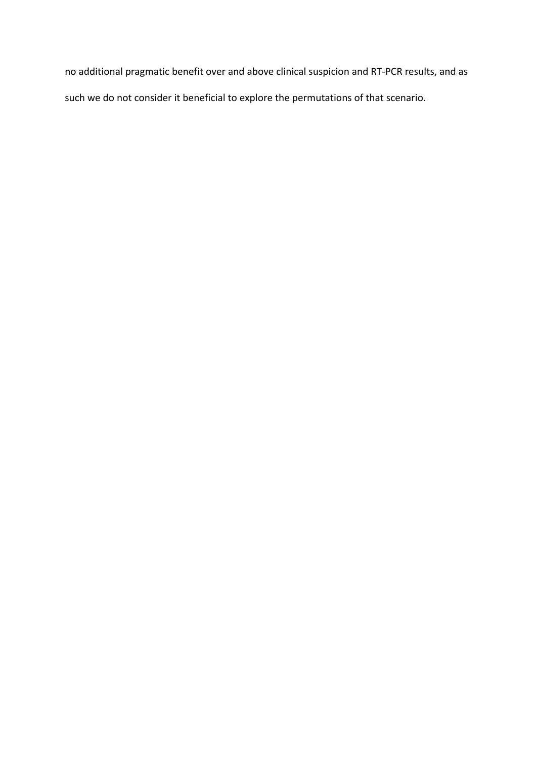no additional pragmatic benefit over and above clinical suspicion and RT-PCR results, and as such we do not consider it beneficial to explore the permutations of that scenario.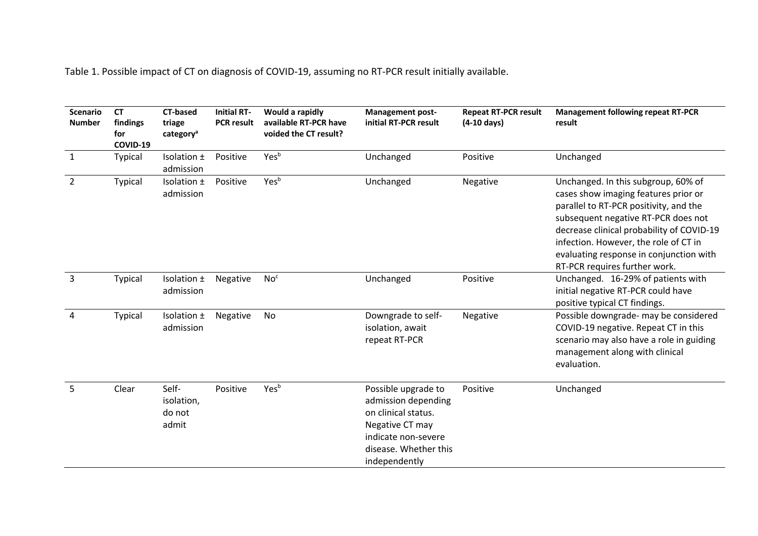Table 1. Possible impact of CT on diagnosis of COVID-19, assuming no RT-PCR result initially available.

| <b>Scenario</b><br><b>Number</b> | <b>CT</b><br>findings<br>for<br>COVID-19 | <b>CT-based</b><br>triage<br>category <sup>a</sup> | <b>Initial RT-</b><br><b>PCR result</b> | Would a rapidly<br>available RT-PCR have<br>voided the CT result? | <b>Management post-</b><br>initial RT-PCR result                                                                                                      | <b>Repeat RT-PCR result</b><br>$(4-10 \text{ days})$ | <b>Management following repeat RT-PCR</b><br>result                                                                                                                                                                                                                                                                            |
|----------------------------------|------------------------------------------|----------------------------------------------------|-----------------------------------------|-------------------------------------------------------------------|-------------------------------------------------------------------------------------------------------------------------------------------------------|------------------------------------------------------|--------------------------------------------------------------------------------------------------------------------------------------------------------------------------------------------------------------------------------------------------------------------------------------------------------------------------------|
| $\mathbf{1}$                     | Typical                                  | Isolation ±<br>admission                           | Positive                                | Yes <sup>b</sup>                                                  | Unchanged                                                                                                                                             | Positive                                             | Unchanged                                                                                                                                                                                                                                                                                                                      |
| $\overline{2}$                   | Typical                                  | Isolation ±<br>admission                           | Positive                                | Yesb                                                              | Unchanged                                                                                                                                             | Negative                                             | Unchanged. In this subgroup, 60% of<br>cases show imaging features prior or<br>parallel to RT-PCR positivity, and the<br>subsequent negative RT-PCR does not<br>decrease clinical probability of COVID-19<br>infection. However, the role of CT in<br>evaluating response in conjunction with<br>RT-PCR requires further work. |
| $\mathbf{3}$                     | Typical                                  | Isolation ±<br>admission                           | Negative                                | No <sup>c</sup>                                                   | Unchanged                                                                                                                                             | Positive                                             | Unchanged. 16-29% of patients with<br>initial negative RT-PCR could have<br>positive typical CT findings.                                                                                                                                                                                                                      |
| 4                                | Typical                                  | Isolation ±<br>admission                           | Negative                                | No                                                                | Downgrade to self-<br>isolation, await<br>repeat RT-PCR                                                                                               | Negative                                             | Possible downgrade- may be considered<br>COVID-19 negative. Repeat CT in this<br>scenario may also have a role in guiding<br>management along with clinical<br>evaluation.                                                                                                                                                     |
| 5                                | Clear                                    | Self-<br>isolation,<br>do not<br>admit             | Positive                                | Yes <sup>b</sup>                                                  | Possible upgrade to<br>admission depending<br>on clinical status.<br>Negative CT may<br>indicate non-severe<br>disease. Whether this<br>independently | Positive                                             | Unchanged                                                                                                                                                                                                                                                                                                                      |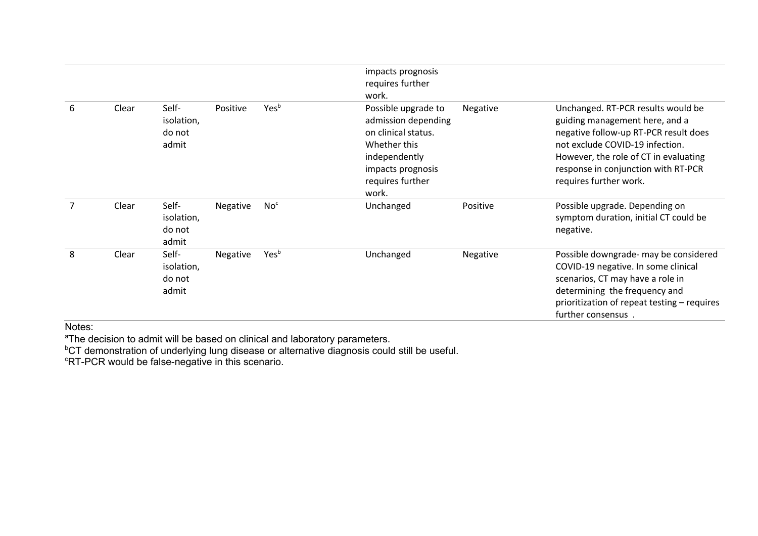|                |       |                                        |          |                  | impacts prognosis<br>requires further<br>work.                                                                                                       |          |                                                                                                                                                                                                                                                            |
|----------------|-------|----------------------------------------|----------|------------------|------------------------------------------------------------------------------------------------------------------------------------------------------|----------|------------------------------------------------------------------------------------------------------------------------------------------------------------------------------------------------------------------------------------------------------------|
| 6              | Clear | Self-<br>isolation,<br>do not<br>admit | Positive | Yes <sup>b</sup> | Possible upgrade to<br>admission depending<br>on clinical status.<br>Whether this<br>independently<br>impacts prognosis<br>requires further<br>work. | Negative | Unchanged. RT-PCR results would be<br>guiding management here, and a<br>negative follow-up RT-PCR result does<br>not exclude COVID-19 infection.<br>However, the role of CT in evaluating<br>response in conjunction with RT-PCR<br>requires further work. |
| $\overline{7}$ | Clear | Self-<br>isolation,<br>do not<br>admit | Negative | No <sup>c</sup>  | Unchanged                                                                                                                                            | Positive | Possible upgrade. Depending on<br>symptom duration, initial CT could be<br>negative.                                                                                                                                                                       |
| 8              | Clear | Self-<br>isolation,<br>do not<br>admit | Negative | Yes <sup>b</sup> | Unchanged                                                                                                                                            | Negative | Possible downgrade- may be considered<br>COVID-19 negative. In some clinical<br>scenarios, CT may have a role in<br>determining the frequency and<br>prioritization of repeat testing - requires<br>further consensus.                                     |

Notes:

<sup>a</sup>The decision to admit will be based on clinical and laboratory parameters.<br><sup>b</sup>CT demonstration of underlying lung disease or alternative diagnosis could still be useful.<br>°RT-PCR would be false-negative in this scenario.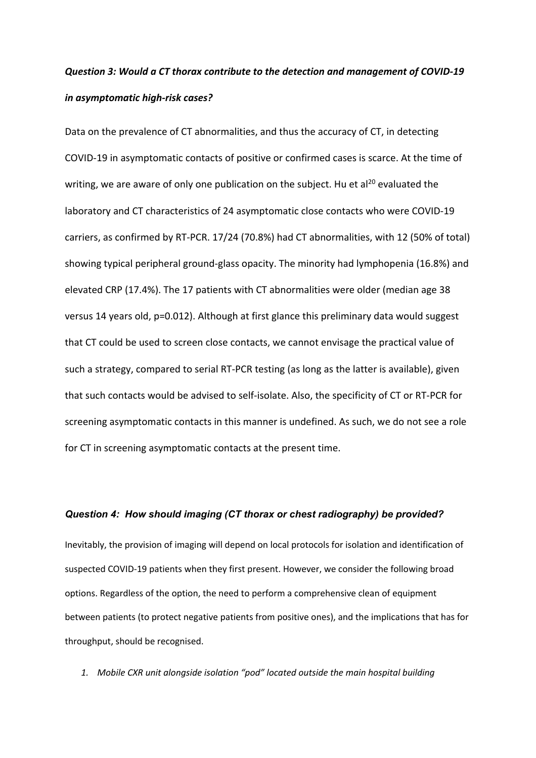## *Question 3: Would a CT thorax contribute to the detection and management of COVID-19 in asymptomatic high-risk cases?*

Data on the prevalence of CT abnormalities, and thus the accuracy of CT, in detecting COVID-19 in asymptomatic contacts of positive or confirmed cases is scarce. At the time of writing, we are aware of only one publication on the subject. Hu et al<sup>20</sup> evaluated the laboratory and CT characteristics of 24 asymptomatic close contacts who were COVID-19 carriers, as confirmed by RT-PCR. 17/24 (70.8%) had CT abnormalities, with 12 (50% of total) showing typical peripheral ground-glass opacity. The minority had lymphopenia (16.8%) and elevated CRP (17.4%). The 17 patients with CT abnormalities were older (median age 38 versus 14 years old, p=0.012). Although at first glance this preliminary data would suggest that CT could be used to screen close contacts, we cannot envisage the practical value of such a strategy, compared to serial RT-PCR testing (as long as the latter is available), given that such contacts would be advised to self-isolate. Also, the specificity of CT or RT-PCR for screening asymptomatic contacts in this manner is undefined. As such, we do not see a role for CT in screening asymptomatic contacts at the present time.

#### *Question 4: How should imaging (CT thorax or chest radiography) be provided?*

Inevitably, the provision of imaging will depend on local protocols for isolation and identification of suspected COVID-19 patients when they first present. However, we consider the following broad options. Regardless of the option, the need to perform a comprehensive clean of equipment between patients (to protect negative patients from positive ones), and the implications that has for throughput, should be recognised.

*1. Mobile CXR unit alongside isolation "pod" located outside the main hospital building*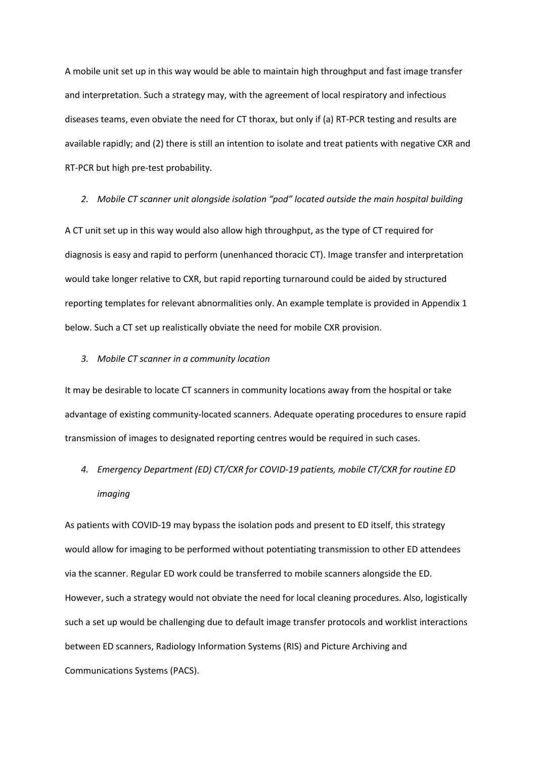A mobile unit set up in this way would be able to maintain high throughput and fast image transfer and interpretation. Such a strategy may, with the agreement of local respiratory and infectious diseases teams, even obviate the need for CT thorax, but only if (a) RT-PCR testing and results are available rapidly; and (2) there is still an intention to isolate and treat patients with negative CXR and RT-PCR but high pre-test probability.

#### *2. Mobile CT scanner unit alongside isolation "pod" located outside the main hospital building*

A CT unit set up in this way would also allow high throughput, as the type of CT required for diagnosis is easy and rapid to perform (unenhanced thoracic CT). Image transfer and interpretation would take longer relative to CXR, but rapid reporting turnaround could be aided by structured reporting templates for relevant abnormalities only. An example template is provided in Appendix 1 below. Such a CT set up realistically obviate the need for mobile CXR provision.

#### *3. Mobile CT scanner in a community location*

It may be desirable to locate CT scanners in community locations away from the hospital or take advantage of existing community-located scanners. Adequate operating procedures to ensure rapid transmission of images to designated reporting centres would be required in such cases.

## *4. Emergency Department (ED) CT/CXR for COVID-19 patients, mobile CT/CXR for routine ED imaging*

As patients with COVID-19 may bypass the isolation pods and present to ED itself, this strategy would allow for imaging to be performed without potentiating transmission to other ED attendees via the scanner. Regular ED work could be transferred to mobile scanners alongside the ED. However, such a strategy would not obviate the need for local cleaning procedures. Also, logistically such a set up would be challenging due to default image transfer protocols and worklist interactions between ED scanners, Radiology Information Systems (RIS) and Picture Archiving and Communications Systems (PACS).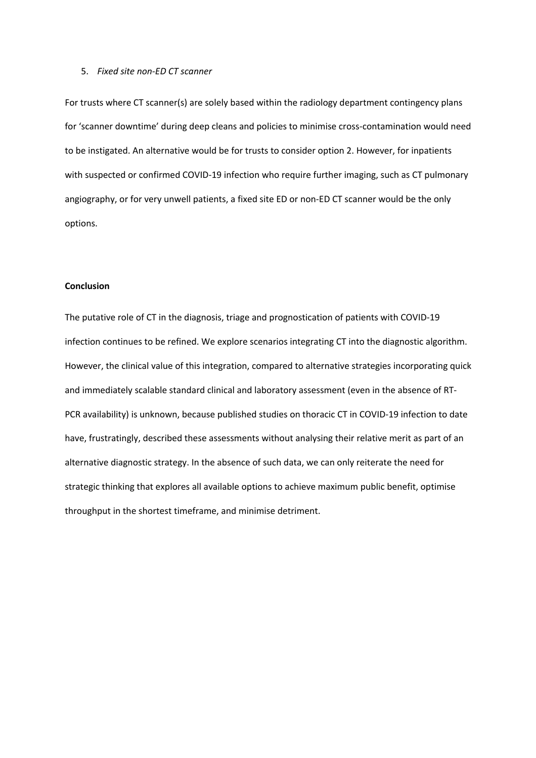#### 5. *Fixed site non-ED CT scanner*

For trusts where CT scanner(s) are solely based within the radiology department contingency plans for 'scanner downtime' during deep cleans and policies to minimise cross-contamination would need to be instigated. An alternative would be for trusts to consider option 2. However, for inpatients with suspected or confirmed COVID-19 infection who require further imaging, such as CT pulmonary angiography, or for very unwell patients, a fixed site ED or non-ED CT scanner would be the only options.

#### **Conclusion**

The putative role of CT in the diagnosis, triage and prognostication of patients with COVID-19 infection continues to be refined. We explore scenarios integrating CT into the diagnostic algorithm. However, the clinical value of this integration, compared to alternative strategies incorporating quick and immediately scalable standard clinical and laboratory assessment (even in the absence of RT-PCR availability) is unknown, because published studies on thoracic CT in COVID-19 infection to date have, frustratingly, described these assessments without analysing their relative merit as part of an alternative diagnostic strategy. In the absence of such data, we can only reiterate the need for strategic thinking that explores all available options to achieve maximum public benefit, optimise throughput in the shortest timeframe, and minimise detriment.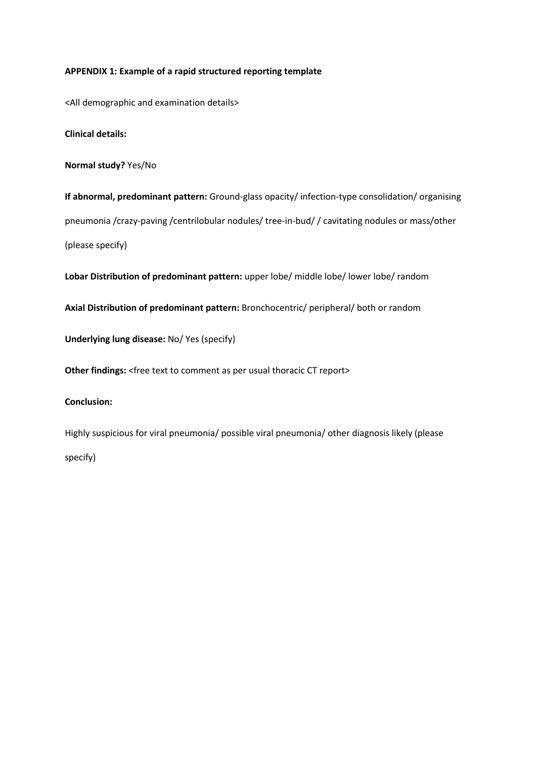### **APPENDIX 1: Example of a rapid structured reporting template**

<All demographic and examination details>

**Clinical details:** 

**Normal study?** Yes/No

**If abnormal, predominant pattern:** Ground-glass opacity/ infection-type consolidation/ organising pneumonia /crazy-paving /centrilobular nodules/ tree-in-bud/ / cavitating nodules or mass/other (please specify)

**Lobar Distribution of predominant pattern:** upper lobe/ middle lobe/ lower lobe/ random

**Axial Distribution of predominant pattern:** Bronchocentric/ peripheral/ both or random

**Underlying lung disease:** No/ Yes (specify)

**Other findings:** <free text to comment as per usual thoracic CT report>

### **Conclusion:**

Highly suspicious for viral pneumonia/ possible viral pneumonia/ other diagnosis likely (please specify)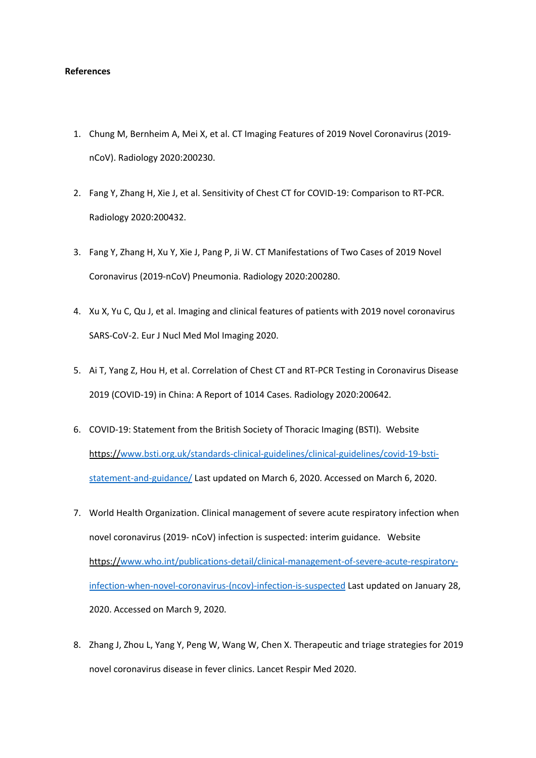#### **References**

- 1. Chung M, Bernheim A, Mei X, et al. CT Imaging Features of 2019 Novel Coronavirus (2019 nCoV). Radiology 2020:200230.
- 2. Fang Y, Zhang H, Xie J, et al. Sensitivity of Chest CT for COVID-19: Comparison to RT-PCR. Radiology 2020:200432.
- 3. Fang Y, Zhang H, Xu Y, Xie J, Pang P, Ji W. CT Manifestations of Two Cases of 2019 Novel Coronavirus (2019-nCoV) Pneumonia. Radiology 2020:200280.
- 4. Xu X, Yu C, Qu J, et al. Imaging and clinical features of patients with 2019 novel coronavirus SARS-CoV-2. Eur J Nucl Med Mol Imaging 2020.
- 5. Ai T, Yang Z, Hou H, et al. Correlation of Chest CT and RT-PCR Testing in Coronavirus Disease 2019 (COVID-19) in China: A Report of 1014 Cases. Radiology 2020:200642.
- 6. COVID-19: Statement from the British Society of Thoracic Imaging (BSTI). Website https://www.bsti.org.uk/standards-clinical-guidelines/clinical-guidelines/covid-19-bstistatement-and-guidance/ Last updated on March 6, 2020. Accessed on March 6, 2020.
- 7. World Health Organization. Clinical management of severe acute respiratory infection when novel coronavirus (2019- nCoV) infection is suspected: interim guidance. Website https://www.who.int/publications-detail/clinical-management-of-severe-acute-respiratoryinfection-when-novel-coronavirus-(ncov)-infection-is-suspected Last updated on January 28, 2020. Accessed on March 9, 2020.
- 8. Zhang J, Zhou L, Yang Y, Peng W, Wang W, Chen X. Therapeutic and triage strategies for 2019 novel coronavirus disease in fever clinics. Lancet Respir Med 2020.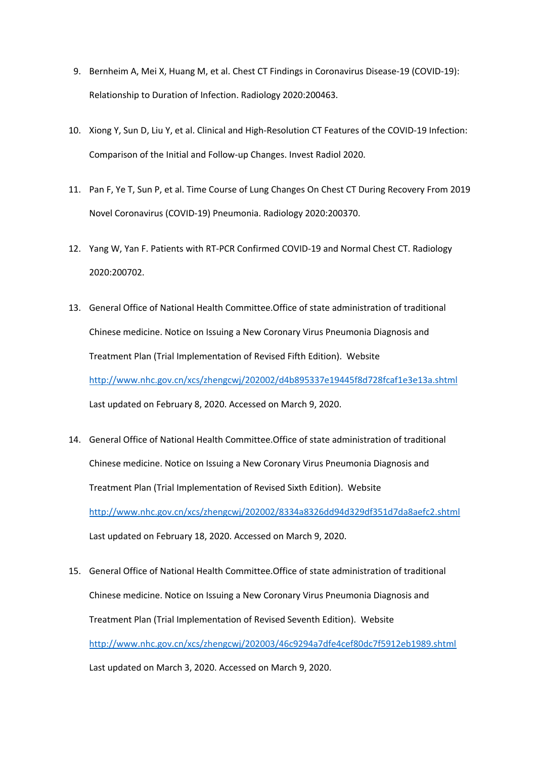- 9. Bernheim A, Mei X, Huang M, et al. Chest CT Findings in Coronavirus Disease-19 (COVID-19): Relationship to Duration of Infection. Radiology 2020:200463.
- 10. Xiong Y, Sun D, Liu Y, et al. Clinical and High-Resolution CT Features of the COVID-19 Infection: Comparison of the Initial and Follow-up Changes. Invest Radiol 2020.
- 11. Pan F, Ye T, Sun P, et al. Time Course of Lung Changes On Chest CT During Recovery From 2019 Novel Coronavirus (COVID-19) Pneumonia. Radiology 2020:200370.
- 12. Yang W, Yan F. Patients with RT-PCR Confirmed COVID-19 and Normal Chest CT. Radiology 2020:200702.
- 13. General Office of National Health Committee.Office of state administration of traditional Chinese medicine. Notice on Issuing a New Coronary Virus Pneumonia Diagnosis and Treatment Plan (Trial Implementation of Revised Fifth Edition). Website http://www.nhc.gov.cn/xcs/zhengcwj/202002/d4b895337e19445f8d728fcaf1e3e13a.shtml Last updated on February 8, 2020. Accessed on March 9, 2020.
- 14. General Office of National Health Committee.Office of state administration of traditional Chinese medicine. Notice on Issuing a New Coronary Virus Pneumonia Diagnosis and Treatment Plan (Trial Implementation of Revised Sixth Edition). Website http://www.nhc.gov.cn/xcs/zhengcwj/202002/8334a8326dd94d329df351d7da8aefc2.shtml Last updated on February 18, 2020. Accessed on March 9, 2020.
- 15. General Office of National Health Committee.Office of state administration of traditional Chinese medicine. Notice on Issuing a New Coronary Virus Pneumonia Diagnosis and Treatment Plan (Trial Implementation of Revised Seventh Edition). Website http://www.nhc.gov.cn/xcs/zhengcwj/202003/46c9294a7dfe4cef80dc7f5912eb1989.shtml Last updated on March 3, 2020. Accessed on March 9, 2020.